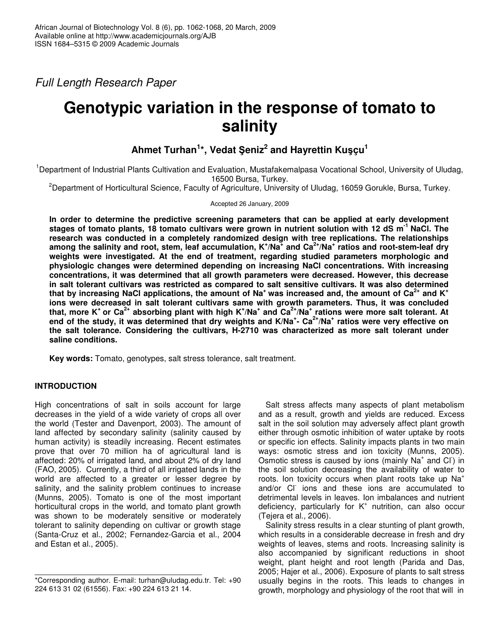*Full Length Research Paper*

# **Genotypic variation in the response of tomato to salinity**

# ${\bf A}$ hmet <code>Turhan $^{\text{1}\star}$ , Vedat Şeniz $^{\text{2}}$  and Hayrettin Kuşçu $^{\text{1}}$ </code>

<sup>1</sup>Department of Industrial Plants Cultivation and Evaluation, Mustafakemalpasa Vocational School, University of Uludag, 16500 Bursa, Turkey.

<sup>2</sup>Department of Horticultural Science, Faculty of Agriculture, University of Uludag, 16059 Gorukle, Bursa, Turkey.

Accepted 26 January, 2009

**In order to determine the predictive screening parameters that can be applied at early development** stages of tomato plants, 18 tomato cultivars were grown in nutrient solution with 12 dS m<sup>-1</sup> NaCl. The **research was conducted in a completely randomized design with tree replications. The relationships** among the salinity and root, stem, leaf accumulation, K $^{\star}$ /Na $^{\star}$  and Ca $^{2+}$ /Na $^{\star}$  ratios and root-stem-leaf dry **weights were investigated. At the end of treatment, regarding studied parameters morphologic and physiologic changes were determined depending on increasing NaCl concentrations. With increasing concentrations, it was determined that all growth parameters were decreased. However, this decrease in salt tolerant cultivars was restricted as compared to salt sensitive cultivars. It was also determined** that by increasing NaCl applications, the amount of Na<sup>+</sup> was increased and, the amount of Ca<sup>2+</sup> and K<sup>+</sup> **ions were decreased in salt tolerant cultivars same with growth parameters. Thus, it was concluded** that, more K<sup>+</sup> or Ca<sup>2+</sup> absorbing plant with high K<sup>+</sup>/Na<sup>+</sup> and Ca<sup>2+</sup>/Na<sup>+</sup> rations were more salt tolerant. At end of the study, it was determined that dry weights and K/Na<sup>+</sup>- Ca<sup>2+</sup>/Na<sup>+</sup> ratios were very effective on **the salt tolerance. Considering the cultivars, H-2710 was characterized as more salt tolerant under saline conditions.**

**Key words:** Tomato, genotypes, salt stress tolerance, salt treatment.

# **INTRODUCTION**

High concentrations of salt in soils account for large decreases in the yield of a wide variety of crops all over the world (Tester and Davenport, 2003). The amount of land affected by secondary salinity (salinity caused by human activity) is steadily increasing. Recent estimates prove that over 70 million ha of agricultural land is affected: 20% of irrigated land, and about 2% of dry land (FAO, 2005). Currently, a third of all irrigated lands in the world are affected to a greater or lesser degree by salinity, and the salinity problem continues to increase (Munns, 2005). Tomato is one of the most important horticultural crops in the world, and tomato plant growth was shown to be moderately sensitive or moderately tolerant to salinity depending on cultivar or growth stage (Santa-Cruz et al., 2002; Fernandez-Garcia et al., 2004 and Estan et al., 2005).

Salt stress affects many aspects of plant metabolism and as a result, growth and yields are reduced. Excess salt in the soil solution may adversely affect plant growth either through osmotic inhibition of water uptake by roots or specific ion effects. Salinity impacts plants in two main ways: osmotic stress and ion toxicity (Munns, 2005). Osmotic stress is caused by ions (mainly Na<sup>+</sup> and Cl) in the soil solution decreasing the availability of water to roots. Ion toxicity occurs when plant roots take up  $Na<sup>+</sup>$ and/or Cl ions and these ions are accumulated to detrimental levels in leaves. Ion imbalances and nutrient deficiency, particularly for K<sup>+</sup> nutrition, can also occur (Tejera et al., 2006).

Salinity stress results in a clear stunting of plant growth, which results in a considerable decrease in fresh and dry weights of leaves, stems and roots. Increasing salinity is also accompanied by significant reductions in shoot weight, plant height and root length (Parida and Das, 2005; Hajer et al., 2006). Exposure of plants to salt stress usually begins in the roots. This leads to changes in growth, morphology and physiology of the root that will in

<sup>\*</sup>Corresponding author. E-mail: turhan@uludag.edu.tr. Tel: +90 224 613 31 02 (61556). Fax: +90 224 613 21 14.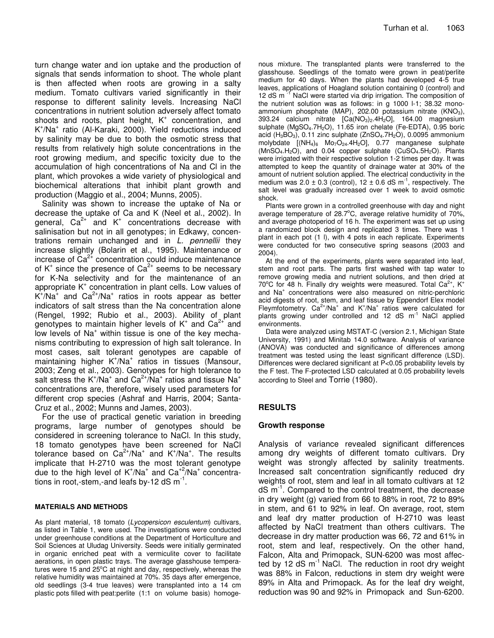turn change water and ion uptake and the production of signals that sends information to shoot. The whole plant is then affected when roots are growing in a salty medium. Tomato cultivars varied significantly in their response to different salinity levels. Increasing NaCl concentrations in nutrient solution adversely affect tomato shoots and roots, plant height, K<sup>+</sup> concentration, and K + /Na + ratio (Al-Karaki, 2000). Yield reductions induced by salinity may be due to both the osmotic stress that results from relatively high solute concentrations in the root growing medium, and specific toxicity due to the accumulation of high concentrations of Na and Cl in the plant, which provokes a wide variety of physiological and biochemical alterations that inhibit plant growth and production (Maggio et al., 2004; Munns, 2005).

Salinity was shown to increase the uptake of Na or decrease the uptake of Ca and K (Neel et al., 2002). In general, Ca $^{2+}$  and K<sup>+</sup> concentrations decrease with salinisation but not in all genotypes; in Edkawy, concentrations remain unchanged and in *L. pennellii* they increase slightly (Bolarin et al., 1995). Maintenance or increase of Ca<sup>2+</sup> concentration could induce maintenance of K<sup>+</sup> since the presence of Ca<sup>2+</sup> seems to be necessary for K-Na selectivity and for the maintenance of an appropriate K + concentration in plant cells. Low values of  $K^+/Na^+$  and  $Ca^{2+}/Na^+$  ratios in roots appear as better indicators of salt stress than the Na concentration alone (Rengel, 1992; Rubio et al., 2003). Ability of plant genotypes to maintain higher levels of K<sup>+</sup> and Ca<sup>2+</sup> and low levels of Na<sup>+</sup> within tissue is one of the key mechanisms contributing to expression of high salt tolerance. In most cases, salt tolerant genotypes are capable of maintaining higher K<sup>+</sup>/Na<sup>+</sup> ratios in tissues (Mansour, 2003; Zeng et al., 2003). Genotypes for high tolerance to salt stress the K<sup>+</sup>/Na<sup>+</sup> and Ca<sup>2+</sup>/Na<sup>+</sup> ratios and tissue Na<sup>+</sup> concentrations are, therefore, wisely used parameters for different crop species (Ashraf and Harris, 2004; Santa-Cruz et al., 2002; Munns and James, 2003).

For the use of practical genetic variation in breeding programs, large number of genotypes should be considered in screening tolerance to NaCl. In this study, 18 tomato genotypes have been screened for NaCl tolerance based on  $Ca^{2+}/Na^{+}$  and  $K^{+}/Na^{+}$ . The results implicate that H-2710 was the most tolerant genotype due to the high level of  $K^{\dagger}/Na^{\dagger}$  and  $Ca^{\dagger 2}/Na^{\dagger}$  concentrations in root,-stem,-and leafs by-12 dS  $m^{-1}$ .

#### **MATERIALS AND METHODS**

As plant material, 18 tomato (*Lycopersicon esculentum*) cultivars, as listed in Table 1, were used. The investigations were conducted under greenhouse conditions at the Department of Horticulture and Soil Sciences at Uludag University. Seeds were initially germinated in organic enriched peat with a vermiculite cover to facilitate aerations, in open plastic trays. The average glasshouse temperatures were 15 and 25°C at night and day, respectively, whereas the relative humidity was maintained at 70%. 35 days after emergence, old seedlings (3-4 true leaves) were transplanted into a 14 cm plastic pots filled with peat:perlite (1:1 on volume basis) homogenous mixture. The transplanted plants were transferred to the glasshouse. Seedlings of the tomato were grown in peat/perlite medium for 40 days. When the plants had developed 4-5 true leaves, applications of Hoagland solution containing 0 (control) and 12 dS m<sup>-1</sup> NaCl were started via drip irrigation. The composition of the nutrient solution was as follows: in g 1000 l-1; 38.32 monoammonium phosphate (MAP), 202.00 potassium nitrate (KNO<sub>3</sub>), 393.24 calcium nitrate [Ca(NO3)2.4H2O], 164.00 magnesium sulphate (MgSO<sub>4</sub>.7H<sub>2</sub>O), 11.65 iron chelate (Fe-EDTA), 0.95 boric acid  $(H_3BO_3)$ , 0.11 zinc sulphate  $(ZnSO_4.7H_2O)$ , 0.0095 ammonium molybdate  $[(NH_4)_6 \quad Mo_7O_{24}.4H_2O]$ , 0.77 manganese sulphate  $(MnSO<sub>4</sub>.H<sub>2</sub>O)$ , and 0.04 copper sulphate  $(CuSO<sub>4</sub>.5H<sub>2</sub>O)$ . Plants were irrigated with their respective solution 1-2 times per day. It was attempted to keep the quantity of drainage water at 30% of the amount of nutrient solution applied. The electrical conductivity in the medium was  $2.0 \pm 0.3$  (control),  $12 \pm 0.6$  dS m<sup>-1</sup>, respectively. The salt level was gradually increased over 1 week to avoid osmotic shock.

Plants were grown in a controlled greenhouse with day and night average temperature of 28.7 $^{\circ}$ C, average relative humidity of 70%, and average photoperiod of 16 h. The experiment was set up using a randomized block design and replicated 3 times. There was 1 plant in each pot (1 l), with 4 pots in each replicate. Experiments were conducted for two consecutive spring seasons (2003 and 2004).

At the end of the experiments, plants were separated into leaf, stem and root parts. The parts first washed with tap water to remove growing media and nutrient solutions, and then dried at 70 $\mathrm{^{\circ}C}$  for 48 h. Finally dry weights were measured. Total Ca<sup>2+</sup> , K + and Na + concentrations were also measured on nitric-perchloric acid digests of root, stem, and leaf tissue by Eppendorf Elex model Fleymfotometry.  $Ca^{2+}/Na^{+}$  and K<sup>+</sup>/Na<sup>+</sup> ratios were calculated for plants growing under controlled and 12 dS m<sup>-1</sup> NaCl applied environments.

Data were analyzed using MSTAT-C (version 2.1, Michigan State University, 1991) and Minitab 14.0 software. Analysis of variance (ANOVA) was conducted and significance of differences among treatment was tested using the least significant difference (LSD). Differences were declared significant at P<0.05 probability levels by the F test. The F-protected LSD calculated at 0.05 probability levels according to Steel and Torrie (1980).

# **RESULTS**

#### **Growth response**

Analysis of variance revealed significant differences among dry weights of different tomato cultivars. Dry weight was strongly affected by salinity treatments. Increased salt concentration significantly reduced dry weights of root, stem and leaf in all tomato cultivars at 12 dS m<sup>-1</sup>. Compared to the control treatment, the decrease in dry weight (g) varied from 66 to 88% in root, 72 to 89% in stem, and 61 to 92% in leaf. On average, root, stem and leaf dry matter production of H-2710 was least affected by NaCl treatment than others cultivars. The decrease in dry matter production was 66, 72 and 61% in root, stem and leaf, respectively. On the other hand, Falcon, Alta and Primopack, SUN-6200 was most affected by 12 dS m<sup>-1</sup> NaCl. The reduction in root dry weight was 88% in Falcon, reductions in stem dry weight were 89% in Alta and Primopack. As for the leaf dry weight, reduction was 90 and 92% in Primopack and Sun-6200.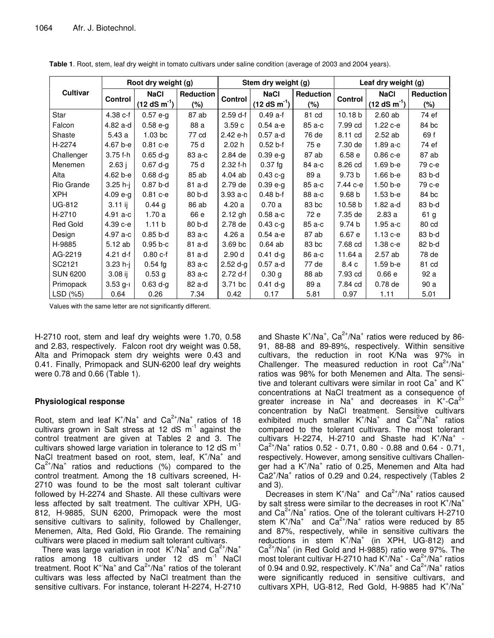|                 | Root dry weight (g) |                    |                  | Stem dry weight (g) |               |                  | Leaf dry weight (g) |               |                  |  |
|-----------------|---------------------|--------------------|------------------|---------------------|---------------|------------------|---------------------|---------------|------------------|--|
| Cultivar        | <b>Control</b>      | <b>NaCl</b>        | <b>Reduction</b> | Control             | <b>NaCl</b>   | <b>Reduction</b> | Control             | <b>NaCl</b>   | <b>Reduction</b> |  |
|                 |                     | $(12 dS m-1)$      | (%)              |                     | $(12 dS m-1)$ | (%)              |                     | $(12 dS m-1)$ | $(\%)$           |  |
| Star            | 4.38 c-f            | $0.57e-g$          | 87 ab            | $2.59$ d-f          | $0.49a-f$     | 81 cd            | 10.18 <sub>b</sub>  | $2.60$ ab     | 74 ef            |  |
| Falcon          | 4.82 a-d            | $0.58e-g$          | 88 a             | 3.59c               | $0.54a-e$     | 85 a-c           | 7.99 cd             | $1.22c - e$   | 84 bc            |  |
| Shaste          | 5.43a               | 1.03 <sub>bc</sub> | 77 cd            | 2.42 e-h            | $0.57$ a-d    | 76 de            | 8.11 cd             | $2.52$ ab     | 69 f             |  |
| H-2274          | 4.67 b-e            | $0.81 c-e$         | 75 d             | 2.02h               | $0.52 b-f$    | 75 e             | 7.30 de             | $1.89a-c$     | 74 ef            |  |
| Challenger      | 3.75 f-h            | $0.65 d-g$         | 83 a-c           | 2.84 de             | $0.39 e-g$    | 87 ab            | 6.58e               | $0.86c - e$   | 87 ab            |  |
| Menemen         | 2.63j               | $0.67 d-g$         | 75 d             | $2.32 f-h$          | $0.37$ fg     | 84 a-c           | 8.26 cd             | $1.69b-e$     | 79 с-е           |  |
| Alta            | 4.62 b-e            | $0.68$ d-a         | 85 ab            | 4.04 ab             | $0.43 c-g$    | 89 a             | 9.73 <sub>b</sub>   | $1.66 b - e$  | 83 b-d           |  |
| Rio Grande      | $3.25 h-j$          | $0.87b-d$          | 81 a-d           | 2.79 de             | $0.39 e-g$    | 85 a-c           | 7.44 с-е            | $1.50 b - e$  | 79 с-е           |  |
| XPH.            | $4.09 e-g$          | $0.81 c-e$         | 80 b-d           | $3.93a-c$           | $0.48 b-f$    | 88 a-c           | 9.68 <sub>b</sub>   | $1.53 b - e$  | 84 bc            |  |
| <b>UG-812</b>   | $3.11$ ij           | 0.44 g             | 86 ab            | 4.20a               | 0.70a         | 83 bc            | 10.58 b             | 1.82 a-d      | 83 b-d           |  |
| H-2710          | $4.91 a-c$          | 1.70a              | 66 e             | 2.12 gh             | $0.58a-c$     | 72 e             | 7.35 de             | 2.83a         | 61 g             |  |
| <b>Red Gold</b> | 4.39 с-е            | 1.11 <sub>b</sub>  | 80 b-d           | 2.78 de             | $0.43 c-g$    | 85 a-c           | 9.74 <sub>b</sub>   | 1.95 a-c      | 80 cd            |  |
| Design          | 4.97 a-c            | $0.85$ b-d         | 83 a-c           | 4.26a               | $0.54a-e$     | 87 ab            | 6.67 e              | $1.13c-e$     | 83 b-d           |  |
| H-9885          | 5.12 ab             | $0.95 b-c$         | 81 a-d           | 3.69 bc             | $0.64$ ab     | 83 bc            | 7.68 cd             | $1.38c-e$     | 82 b-d           |  |
| AG-2219         | $4.21$ d-f          | $0.80c-f$          | 81 a-d           | 2.90 <sub>d</sub>   | $0.41 d-q$    | 86 a-c           | 11.64 a             | 2.57 ab       | 78 de            |  |
| SC2121          | $3.23$ h-i          | $0.54$ fg          | 83 a-c           | $2.52 d-g$          | $0.57$ a-d    | 77 de            | 8.4 c               | 1.59 b-e      | 81 cd            |  |
| <b>SUN 6200</b> | $3.08$ ij           | 0.53 <sub>g</sub>  | 83 a-c           | 2.72 d-f            | 0.30 g        | 88 ab            | 7.93 cd             | 0.66e         | 92 a             |  |
| Primopack       | $3.53$ g-i          | $0.63 d-g$         | 82 a-d           | 3.71 bc             | $0.41 d-g$    | 89 a             | 7.84 cd             | $0.78$ de     | 90 a             |  |
| LSD (%5)        | 0.64                | 0.26               | 7.34             | 0.42                | 0.17          | 5.81             | 0.97                | 1.11          | 5.01             |  |

Table 1. Root, stem, leaf dry weight in tomato cultivars under saline condition (average of 2003 and 2004 years).

Values with the same letter are not significantly different.

H-2710 root, stem and leaf dry weights were 1.70, 0.58 and 2.83, respectively. Falcon root dry weight was 0.58, Alta and Primopack stem dry weights were 0.43 and 0.41. Finally, Primopack and SUN-6200 leaf dry weights were 0.78 and 0.66 (Table 1).

# **Physiological response**

Root, stem and leaf  $K^{\dagger}/Na^{\dagger}$  and  $Ca^{2\dagger}/Na^{\dagger}$  ratios of 18 cultivars grown in Salt stress at 12 dS  $m^{-1}$  against the control treatment are given at Tables 2 and 3. The cultivars showed large variation in tolerance to 12 dS m<sup>-1</sup> NaCl treatment based on root, stem, leaf, K<sup>+</sup>/Na<sup>+</sup> and  $Ca^{2+}/Na^{+}$  ratios and reductions (%) compared to the control treatment. Among the 18 cultivars screened, H-2710 was found to be the most salt tolerant cultivar followed by H-2274 and Shaste. All these cultivars were less affected by salt treatment. The cultivar XPH, UG-812, H-9885, SUN 6200, Primopack were the most sensitive cultivars to salinity, followed by Challenger, Menemen, Alta, Red Gold, Rio Grande. The remaining cultivars were placed in medium salt tolerant cultivars.

There was large variation in root  $K^{\dagger}/Na^{\dagger}$  and  $Ca^{2\dagger}/Na^{\dagger}$ ratios among 18 cultivars under 12 dS m<sup>-1</sup> NaCl treatment. Root  $K^{\dagger}Na^{\dagger}$  and  $Ca^{2\dagger}/Na^{\dagger}$  ratios of the tolerant cultivars was less affected by NaCI treatment than the sensitive cultivars. For instance, tolerant H-2274, H-2710

and Shaste K<sup>+</sup>/Na<sup>+</sup>, Ca<sup>2+</sup>/Na<sup>+</sup> ratios were reduced by 86-91, 88-88 and 89-89%, respectively. Within sensitive cultivars, the reduction in root K/Na was 97% in Challenger. The measured reduction in root  $Ca^{2+}/Na^{+}$ ratios was 98% for both Menemen and Alta. The sensitive and tolerant cultivars were similar in root  $Ca^+$  and  $K^+$ concentrations at NaCI treatment as a consequence of greater increase in  $Na^{+}$  and decreases in  $K^{+}$ -Ca<sup>2+</sup> concentration by NaCl treatment. Sensitive cultivars exhibited much smaller K<sup>+</sup>/Na<sup>+</sup> and Ca<sup>2+</sup>/Na<sup>+</sup> ratios compared to the tolerant cultivars. The most tolerant cultivars H-2274, H-2710 and Shaste had K<sup>+</sup>/Na<sup>+</sup> - $Ca^{2+}/Na^{+}$  ratios 0.52 - 0.71, 0.80 - 0.88 and 0.64 - 0.71, respectively. However, among sensitive cultivars Challenger had a K<sup>+</sup>/Na<sup>+</sup> ratio of 0.25, Menemen and Alta had Ca2<sup>+</sup>/Na<sup>+</sup> ratios of 0.29 and 0.24, respectively (Tables 2) and  $3$ ).

Decreases in stem  $K^+/Na^+$  and  $Ca^{2+}/Na^+$  ratios caused by salt stress were similar to the decreases in root K<sup>+</sup>/Na<sup>+</sup> and  $Ca^{2+}/Na^{+}$  ratios. One of the tolerant cultivars H-2710 stem  $K^*/Na^+$  and  $Ca^{2+}/Na^+$  ratios were reduced by 85 and 87%, respectively, while in sensitive cultivars the reductions in stem K<sup>+</sup>/Na<sup>+</sup> (in XPH, UG-812) and  $Ca^{2+}/Na^{+}$  (in Red Gold and H-9885) ratio were 97%. The most tolerant cultivar H-2710 had  $K^*/Na^*$  - Ca<sup>2+</sup>/Na<sup>+</sup> ratios of 0.94 and 0.92, respectively.  $K^{\dagger}/Na^{\dagger}$  and  $Ca^{2\dagger}/Na^{\dagger}$  ratios were significantly reduced in sensitive cultivars, and cultivars XPH, UG-812, Red Gold, H-9885 had K<sup>+</sup>/Na<sup>+</sup>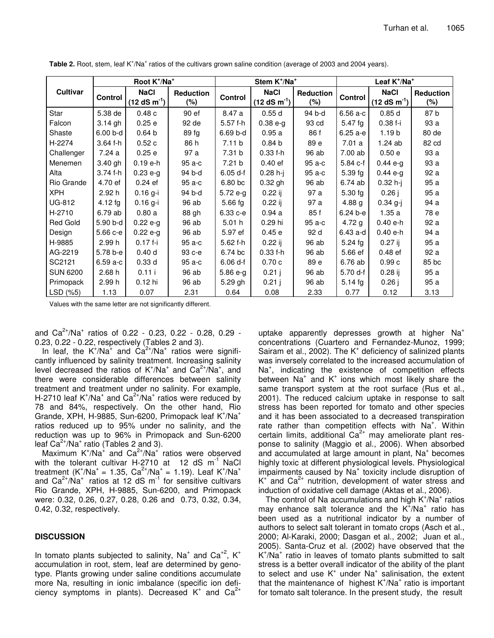|                 | Root K <sup>+</sup> /Na <sup>+</sup> |                              |                         | Stem K <sup>+</sup> /Na <sup>+</sup> |                              |                     | Leaf K <sup>+</sup> /Na <sup>+</sup> |                              |                            |
|-----------------|--------------------------------------|------------------------------|-------------------------|--------------------------------------|------------------------------|---------------------|--------------------------------------|------------------------------|----------------------------|
| Cultivar        | Control                              | <b>NaCl</b><br>$(12 dS m-1)$ | <b>Reduction</b><br>(%) | <b>Control</b>                       | <b>NaCl</b><br>$(12 dS m-1)$ | Reduction<br>$(\%)$ | <b>Control</b>                       | <b>NaCl</b><br>$(12 dS m-1)$ | <b>Reduction</b><br>$(\%)$ |
| Star            | 5.38 de                              | 0.48c                        | 90 ef                   | 8.47 a                               | 0.55d                        | 94 b-d              | 6.56 a-c                             | 0.85d                        | 87 b                       |
| Falcon          | 3.14 gh                              | 0.25e                        | 92 de                   | 5.57 f-h                             | $0.38 e-g$                   | 93 cd               | $5.47$ fg                            | $0.38f - i$                  | 93 a                       |
| Shaste          | 6.00 b-d                             | 0.64 <sub>b</sub>            | 89 fg                   | 6.69 b-d                             | 0.95a                        | 86 f                | 6.25 a-e                             | 1.19 <sub>b</sub>            | 80 de                      |
| H-2274          | 3.64 f-h                             | 0.52c                        | 86 h                    | 7.11 b                               | 0.84 <sub>b</sub>            | 89 e                | 7.01a                                | 1.24 ab                      | 82 cd                      |
| Challenger      | 7.24 a                               | 0.25e                        | 97 a                    | 7.31 b                               | $0.33 f-h$                   | 96 ab               | 7.00 ab                              | 0.50 e                       | 93 a                       |
| Menemen         | 3.40 gh                              | $0.19 e-h$                   | 95 a-c                  | 7.21 b                               | $0.40$ ef                    | 95 a-c              | 5.84 c-f                             | $0.44 e-q$                   | 93 a                       |
| Alta            | 3.74 f-h                             | $0.23 e-g$                   | 94 b-d                  | $6.05 d-f$                           | $0.28 h - j$                 | 95 a-c              | $5.39$ fg                            | $0.44 e-g$                   | 92 a                       |
| Rio Grande      | 4.70 ef                              | $0.24$ ef                    | 95 a-c                  | 6.80 bc                              | $0.32$ gh                    | 96 ab               | 6.74 ab                              | $0.32 h - j$                 | 95 a                       |
| <b>XPH</b>      | 2.92 h                               | $0.16$ g-i                   | 94 b-d                  | $5.72e-g$                            | $0.22$ ij                    | 97 a                | $5.30$ fg                            | $0.26$ j                     | 95 a                       |
| UG-812          | $4.12$ fg                            | $0.16$ g-i                   | 96 ab                   | $5.66$ fg                            | $0.22$ ij                    | 97 a                | 4.88 $g$                             | $0.34$ g-j                   | 94 a                       |
| H-2710          | 6.79 ab                              | 0.80a                        | 88 gh                   | 6.33 с-е                             | 0.94a                        | 85f                 | $6.24 b-e$                           | 1.35a                        | 78 e                       |
| Red Gold        | 5.90 b-d                             | $0.22 e-g$                   | 96 ab                   | 5.01h                                | 0.29 hi                      | 95 a-c              | 4.72 $g$                             | 0.40 e-h                     | 92 a                       |
| Design          | 5.66 с-е                             | $0.22 e-g$                   | 96 ab                   | 5.97 ef                              | 0.45e                        | 92 d                | 6.43 a-d                             | 0.40 e-h                     | 94 a                       |
| H-9885          | 2.99 h                               | $0.17f - i$                  | 95 a-c                  | 5.62 f-h                             | $0.22$ ij                    | 96 ab               | 5.24 fg                              | $0.27$ ij                    | 95 a                       |
| AG-2219         | 5.78 b-e                             | 0.40 <sub>d</sub>            | 93 с-е                  | 6.74 bc                              | $0.33 f-h$                   | 96 ab               | 5.66 ef                              | $0.48$ ef                    | 92 a                       |
| SC2121          | 6.59 a-c                             | 0.33 <sub>d</sub>            | 95 a-c                  | $6.06 d-f$                           | 0.70c                        | 89 e                | 6.76 ab                              | 0.99c                        | 85 bc                      |
| <b>SUN 6200</b> | 2.68 h                               | 0.11 i                       | 96 ab                   | $5.86 e-g$                           | 0.21j                        | 96 ab               | 5.70 d-f                             | $0.28$ ij                    | 95 a                       |
| Primopack       | 2.99 h                               | 0.12 hi                      | 96 ab                   | 5.29 gh                              | 0.21j                        | 96 ab               | 5.14 $fg$                            | 0.26j                        | 95 a                       |
| LSD (%5)        | 1.13                                 | 0.07                         | 2.31                    | 0.64                                 | 0.08                         | 2.33                | 0.77                                 | 0.12                         | 3.13                       |

Table 2. Root, stem, leaf K<sup>+</sup>/Na<sup>+</sup> ratios of the cultivars grown saline condition (average of 2003 and 2004 years).

Values with the same letter are not significantly different.

and  $Ca^{2+}/Na^{+}$  ratios of 0.22 - 0.23, 0.22 - 0.28, 0.29 -0.23, 0.22 - 0.22, respectively (Tables 2 and 3).

In leaf, the  $K^{\dagger}/Na^{\dagger}$  and  $Ca^{2\dagger}/Na^{\dagger}$  ratios were significantly influenced by salinity treatment. Increasing salinity level decreased the ratios of  $K^{\dagger}/Na^{\dagger}$  and  $Ca^{2\dagger}/Na^{\dagger}$ , and there were considerable differences between salinity treatment and treatment under no salinity. For example, H-2710 leaf K<sup>+</sup>/Na<sup>+</sup> and Ca<sup>2+</sup>/Na<sup>+</sup> ratios were reduced by 78 and 84%, respectively. On the other hand, Rio Grande, XPH, H-9885, Sun-6200, Primopack leaf K<sup>+</sup>/Na<sup>+</sup> ratios reduced up to 95% under no salinity, and the reduction was up to 96% in Primopack and Sun-6200 leaf  $Ca^{2+}/Na^{+}$  ratio (Tables 2 and 3).

Maximum  $K^{\dagger}/Na^{\dagger}$  and  $Ca^{2\dagger}/Na^{\dagger}$  ratios were observed with the tolerant cultivar H-2710 at 12 dS m<sup>-1</sup> NaCl treatment  $(K^+/Na^+ = 1.35, Ca^{2+}/Na^+ = 1.19)$ . Leaf  $K^+/Na^+$ <br>and  $Ca^{2+}/Na^+$  ratios at 12 dS m<sup>-1</sup> for sensitive cultivars Rio Grande, XPH, H-9885, Sun-6200, and Primopack were: 0.32, 0.26, 0.27, 0.28, 0.26 and 0.73, 0.32, 0.34, 0.42, 0.32, respectively.

# **DISCUSSION**

In tomato plants subjected to salinity,  $Na<sup>+</sup>$  and  $Ca<sup>+2</sup>$ ,  $K<sup>+</sup>$ accumulation in root, stem, leaf are determined by genotype. Plants growing under saline conditions accumulate more Na, resulting in ionic imbalance (specific ion deficiency symptoms in plants). Decreased  $K^+$  and  $Ca^{2+}$ 

uptake apparently depresses growth at higher  $Na<sup>+</sup>$ concentrations (Cuartero and Fernandez-Munoz. 1999; Sairam et al., 2002). The K<sup>+</sup> deficiency of salinized plants was inversely correlated to the increased accumulation of Na<sup>+</sup>, indicating the existence of competition effects between  $Na<sup>+</sup>$  and  $K<sup>+</sup>$  ions which most likely share the same transport system at the root surface (Rus et al., 2001). The reduced calcium uptake in response to salt stress has been reported for tomato and other species and it has been associated to a decreased transpiration rate rather than competition effects with Na<sup>+</sup>. Within certain limits, additional Ca<sup>2+</sup> may ameliorate plant response to salinity (Maggio et al., 2006). When absorbed and accumulated at large amount in plant, Na<sup>+</sup> becomes highly toxic at different physiological levels. Physiological impairments caused by  $Na<sup>+</sup>$  toxicity include disruption of  $K^+$  and  $Ca^{2+}$  nutrition, development of water stress and induction of oxidative cell damage (Aktas et al., 2006).

The control of Na accumulations and high K<sup>+</sup>/Na<sup>+</sup> ratios may enhance salt tolerance and the K<sup>+</sup>/Na<sup>+</sup> ratio has been used as a nutritional indicator by a number of authors to select salt tolerant in tomato crops (Asch et al., 2000; Al-Karaki, 2000; Dasgan et al., 2002; Juan et al., 2005). Santa-Cruz et al. (2002) have observed that the  $K^{\dagger}/Na^{\dagger}$  ratio in leaves of tomato plants submitted to salt stress is a better overall indicator of the ability of the plant to select and use  $K^+$  under  $Na^+$  salinisation, the extent that the maintenance of highest  $K^+/Na^+$  ratio is important for tomato salt tolerance. In the present study, the result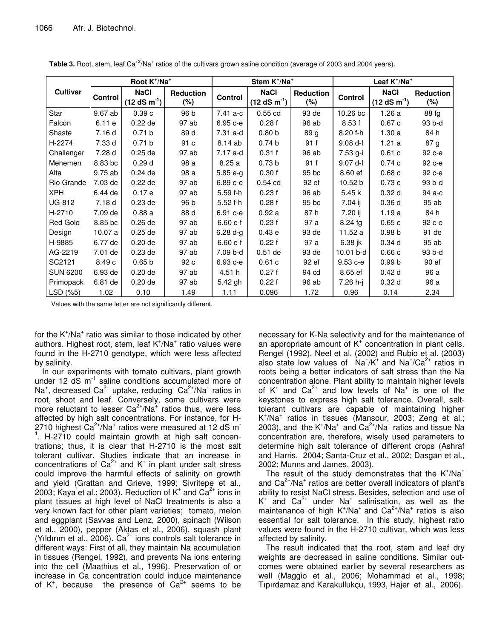|                 |         | Root K <sup>+</sup> /Na <sup>+</sup> |                         | Stem K <sup>+</sup> /Na <sup>+</sup> |                              |                            | Leaf $K^{\dagger}/Na^{\dagger}$ |                              |                            |
|-----------------|---------|--------------------------------------|-------------------------|--------------------------------------|------------------------------|----------------------------|---------------------------------|------------------------------|----------------------------|
| <b>Cultivar</b> | Control | <b>NaCl</b><br>$(12 dS m-1)$         | <b>Reduction</b><br>(%) | Control                              | <b>NaCl</b><br>$(12 dS m-1)$ | <b>Reduction</b><br>$(\%)$ | Control                         | <b>NaCl</b><br>$(12 dS m-1)$ | <b>Reduction</b><br>$(\%)$ |
| Star            | 9.67 ab | 0.39c                                | 96 b                    | 7.41 a-c                             | $0.55$ cd                    | 93 de                      | 10.26 bc                        | 1.26a                        | 88 fg                      |
| Falcon          | 6.11 e  | $0.22$ de                            | 97 ab                   | 6.95 с-е                             | 0.28f                        | 96 ab                      | 8.53f                           | 0.67c                        | 93 b-d                     |
| Shaste          | 7.16d   | 0.71 b                               | 89 d                    | 7.31 a-d                             | 0.80 <sub>b</sub>            | 89 g                       | 8.20 f-h                        | 1.30a                        | 84 h                       |
| H-2274          | 7.33 d  | 0.71 b                               | 91 c                    | 8.14 ab                              | 0.74 <sub>b</sub>            | 91 f                       | $9.08 d-f$                      | 1.21a                        | 87 g                       |
| Challenger      | 7.28 d  | $0.25$ de                            | 97 ab                   | 7.17 a-d                             | 0.31 f                       | 96 ab                      | 7.53 g-i                        | 0.61c                        | 92 с-е                     |
| Menemen         | 8.83 bc | 0.29 <sub>d</sub>                    | 98 a                    | 8.25 a                               | 0.73 <sub>b</sub>            | 91 f                       | 9.07 d-f                        | 0.74c                        | 92 с-е                     |
| Alta            | 9.75 ab | $0.24$ de                            | 98 a                    | $5.85 e-g$                           | 0.30 f                       | 95 bc                      | 8.60 ef                         | 0.68c                        | 92 c-e                     |
| Rio Grande      | 7.03 de | $0.22$ de                            | 97 ab                   | 6.89 с-е                             | $0.54$ cd                    | 92 ef                      | 10.52 b                         | 0.73c                        | 93 b-d                     |
| <b>XPH</b>      | 6.44 de | 0.17e                                | 97 ab                   | $5.59f-h$                            | 0.23f                        | 96 ab                      | 5.45 k                          | 0.32 <sub>d</sub>            | 94 a-c                     |
| <b>UG-812</b>   | 7.18d   | $0.23$ de                            | 96 b                    | $5.52 f-h$                           | 0.28f                        | 95 bc                      | 7.04 ij                         | 0.36d                        | 95 ab                      |
| H-2710          | 7.09 de | 0.88a                                | 88 d                    | 6.91 с-е                             | 0.92a                        | 87 h                       | $7.20$ ij                       | 1.19a                        | 84 h                       |
| Red Gold        | 8.85 bc | $0.26$ de                            | 97 ab                   | $6.60c-f$                            | 0.23f                        | 97 a                       | $8.24$ fg                       | 0.65c                        | 92 с-е                     |
| Design          | 10.07a  | $0.25$ de                            | 97 ab                   | $6.28 d-g$                           | 0.43 e                       | 93 de                      | 11.52 a                         | 0.98 <sub>b</sub>            | 91 de                      |
| H-9885          | 6.77 de | $0.20$ de                            | 97 ab                   | $6.60c-f$                            | 0.22f                        | 97 a                       | 6.38 jk                         | 0.34 <sub>d</sub>            | 95 ab                      |
| AG-2219         | 7.01 de | $0.23$ de                            | 97 ab                   | 7.09 b-d                             | $0.51$ de                    | 93 de                      | 10.01 b-d                       | 0.66c                        | 93 b-d                     |
| SC2121          | 8.49c   | 0.65 <sub>b</sub>                    | 92 c                    | 6.93 с-е                             | 0.61c                        | 92 ef                      | $9.53c - e$                     | 0.99 <sub>b</sub>            | 90 ef                      |
| <b>SUN 6200</b> | 6.93 de | $0.20$ de                            | 97 ab                   | 4.51 h                               | 0.27f                        | 94 cd                      | 8.65 ef                         | 0.42d                        | 96 a                       |
| Primopack       | 6.81 de | $0.20$ de                            | 97 ab                   | 5.42 gh                              | 0.22f                        | 96 ab                      | 7.26 h-j                        | 0.32 <sub>d</sub>            | 96 a                       |
| LSD (%5)        | 1.02    | 0.10                                 | 1.49                    | 1.11                                 | 0.096                        | 1.72                       | 0.96                            | 0.14                         | 2.34                       |

Table 3. Root, stem, leaf Ca<sup>+2</sup>/Na<sup>+</sup> ratios of the cultivars grown saline condition (average of 2003 and 2004 years).

Values with the same letter are not significantly different.

for the  $K^{\dagger}/Na^{\dagger}$  ratio was similar to those indicated by other authors. Highest root, stem, leaf K<sup>+</sup>/Na<sup>+</sup> ratio values were found in the H-2710 genotype, which were less affected by salinity.

In our experiments with tomato cultivars, plant growth under 12 dS m<sup>-1</sup> saline conditions accumulated more of Na<sup>+</sup>, decreased Ca<sup>2+</sup> uptake, reducing  $Ca^{2+}/Na^{+}$  ratios in root, shoot and leaf. Conversely, some cultivars were more reluctant to lesser  $Ca^{2+}/Na^{+}$  ratios thus, were less affected by high salt concentrations. For instance, for H-2710 highest  $Ca^{2+}/Na^{+}$  ratios were measured at 12 dS m<sup>-</sup> <sup>1</sup>. H-2710 could maintain growth at high salt concentrations; thus, it is clear that H-2710 is the most salt tolerant cultivar. Studies indicate that an increase in concentrations of  $Ca^{2+}$  and K<sup>+</sup> in plant under salt stress could improve the harmful effects of salinity on growth and yield (Grattan and Grieve, 1999; Sivritepe et al., 2003; Kaya et al.; 2003). Reduction of  $K^+$  and  $Ca^{2+}$  ions in plant tissues at high level of NaCI treatments is also a very known fact for other plant varieties; tomato, melon and eggplant (Savvas and Lenz, 2000), spinach (Wilson et al., 2000), pepper (Aktas et al., 2006), squash plant (Yildirim et al., 2006).  $Ca^{2+}$  ions controls salt tolerance in different ways: First of all, they maintain Na accumulation in tissues (Rengel, 1992), and prevents Na ions entering into the cell (Maathius et al., 1996). Preservation of or increase in Ca concentration could induce maintenance of  $K^+$ , because the presence of  $Ca^{2+}$  seems to be

necessary for K-Na selectivity and for the maintenance of an appropriate amount of  $K^*$  concentration in plant cells. Rengel (1992), Neel et al. (2002) and Rubio et al. (2003) also state low values of  $Na^{+}/K^{+}$  and  $Na^{+}/Ca^{2+}$  ratios in roots being a better indicators of salt stress than the Na concentration alone. Plant ability to maintain higher levels of  $K^+$  and  $Ca^{2+}$  and low levels of Na<sup>+</sup> is one of the keystones to express high salt tolerance. Overall, salttolerant cultivars are capable of maintaining higher  $K^{\dagger}/Na^{\dagger}$  ratios in tissues (Mansour, 2003; Zeng et al.; 2003), and the  $K^{\dagger}/Na^{\dagger}$  and  $Ca^{2\dagger}/Na^{\dagger}$  ratios and tissue Na concentration are, therefore, wisely used parameters to determine high salt tolerance of different crops (Ashraf and Harris, 2004; Santa-Cruz et al., 2002; Dasgan et al., 2002; Munns and James, 2003).

The result of the study demonstrates that the  $K^{\dagger}/Na^{\dagger}$ and  $Ca<sup>2+</sup>/Na<sup>+</sup>$  ratios are better overall indicators of plant's ability to resist NaCl stress. Besides, selection and use of  $K^+$  and Ca<sup>2+</sup> under Na<sup>+</sup> salinisation, as well as the maintenance of high  $K^+/Na^+$  and  $Ca^{2+}/Na^+$  ratios is also essential for salt tolerance. In this study, highest ratio values were found in the H-2710 cultivar, which was less affected by salinity.

The result indicated that the root, stem and leaf dry weights are decreased in saline conditions. Similar outcomes were obtained earlier by several researchers as well (Maggio et al., 2006; Mohammad et al., 1998; Tipirdamaz and Karakullukçu, 1993, Hajer et al., 2006).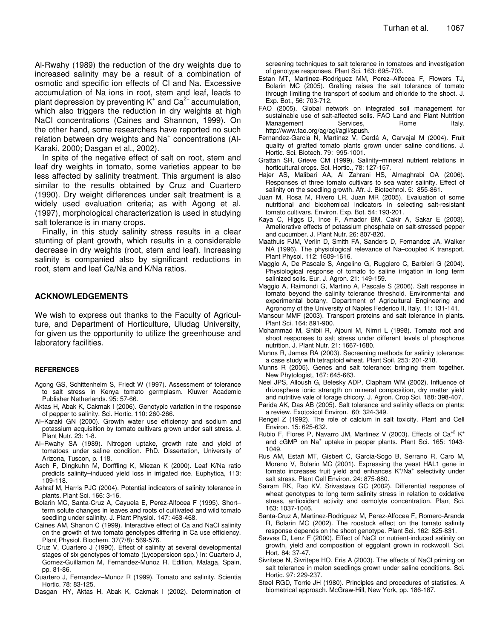Al-Rwahy (1989) the reduction of the dry weights due to increased salinity may be a result of a combination of osmotic and specific ion effects of Cl and Na. Excessive accumulation of Na ions in root, stem and leaf, leads to plant depression by preventing K<sup>+</sup> and Ca<sup>2+</sup> accumulation, which also triggers the reduction in dry weights at high NaCl concentrations (Caines and Shannon, 1999). On the other hand, some researchers have reported no such relation between dry weights and Na<sup>+</sup> concentrations (Al-Karaki, 2000; Dasgan et al., 2002).

In spite of the negative effect of salt on root, stem and leaf dry weights in tomato, some varieties appear to be less affected by salinity treatment. This argument is also similar to the results obtained by Cruz and Cuartero (1990). Dry weight differences under salt treatment is a widely used evaluation criteria; as with Agong et al. (1997), morphological characterization is used in studying salt tolerance is in many crops.

Finally, in this study salinity stress results in a clear stunting of plant growth, which results in a considerable decrease in dry weights (root, stem and leaf). Increasing salinity is companied also by significant reductions in root, stem and leaf Ca/Na and K/Na ratios.

### **ACKNOWLEDGEMENTS**

We wish to express out thanks to the Faculty of Agriculture, and Department of Horticulture, Uludag University, for given us the opportunity to utilize the greenhouse and laboratory facilities.

#### **REFERENCES**

- Agong GS, Schittenhelm S, Friedt W (1997). Assessment of tolerance to salt stress in Kenya tomato germplasm. Kluwer Academic Publisher Netherlands. 95: 57-66.
- Aktas H, Abak K, Cakmak I (2006). Genotypic variation in the response of pepper to salinity. Sci. Hortic. 110: 260-266.
- Al–Karaki GN (2000). Growth water use efficiency and sodium and potassium acquisition by tomato cultivars grown under salt stress. J. Plant Nutr. 23: 1-8.
- Al–Rwahy SA (1989). Nitrogen uptake, growth rate and yield of tomatoes under saline condition. PhD. Dissertation, University of Arizona, Tuscon, p. 118.
- Asch F, Dingkuhn M, Dorffling K, Miezan K (2000). Leaf K/Na ratio predicts salinity–induced yield loss in irrigated rice. Euphytica, 113: 109-118.
- Ashraf M, Harris PJC (2004). Potential indicators of salinity tolerance in plants. Plant Sci. 166: 3-16.
- Bolarin MC, Santa-Cruz A, Cayuela E, Perez-Alfocea F (1995). Short– term solute changes in leaves and roots of cultivated and wild tomato seedling under salinity. J. Plant Physiol. 147: 463-468.
- Caines AM, Shanon C (1999). Interactive effect of Ca and NaCl salinity on the growth of two tomato genotypes differing in Ca use efficiency. Plant Physiol. Biochem. 37(7/8): 569-576.
- Cruz V, Cuartero J (1990). Effect of salinity at several developmental stages of six genotypes of tomato (Lycopersicon spp.) In: Cuartero J, Gomez-Guillamon M, Fernandez-Munoz R. Edition, Malaga, Spain, pp. 81-86.
- Cuartero J, Fernandez–Munoz R (1999). Tomato and salinity. Scientia Hortic. 78: 83-125.
- Dasgan HY, Aktas H, Abak K, Cakmak I (2002). Determination of

screening techniques to salt tolerance in tomatoes and investigation of genotype responses. Plant Sci. 163: 695-703.

- Estan MT, Martinez–Rodriguez MM, Perez–Alfocea F, Flowers TJ, Bolarin MC (2005). Grafting raises the salt tolerance of tomato through limiting the transport of sodium and chloride to the shoot. J. Exp. Bot., 56: 703-712.
- FAO (2005). Global network on integrated soil management for sustainable use of salt-affected soils. FAO Land and Plant Nutrition Management Services, Rome Italy. http://www.fao.org/ag/agl/agll/spush.
- Fernandez-Garcia N, Martinez V, Cerdá A, Carvajal M (2004). Fruit quality of grafted tomato plants grown under saline conditions. J. Hortic. Sci. Biotech. 79: 995-1001.
- Grattan SR, Grieve CM (1999). Salinity–mineral nutrient relations in horticultural crops. Sci. Hortic., 78: 127-157.
- Hajer AS, Malibari AA, Al Zahrani HS, Almaghrabi OA (2006). Responses of three tomato cultivars to sea water salinity. Effect of salinity on the seedling growth. Afr. J. Biotechnol. 5: 855-861.
- Juan M, Rosa M, Rivero LR, Juan MR (2005). Evaluation of some nutritional and biochemical indicators in selecting salt-resistant tomato cultivars. Environ. Exp. Bot. 54: 193-201.
- Kaya C, Higgs D, Ince F, Amador BM, Cakir A, Sakar E (2003). Ameliorative effects of potassium phosphate on salt-stressed pepper and cucumber. J. Plant Nutr. 26: 807-820.
- Maathuis FJM, Verlin D, Smith FA, Sanders D, Fernandez JA, Walker NA (1996). The physiological relevance of Na–coupled K transport. Plant Physol. 112: 1609-1616.
- Maggio A, De Pascale S, Angelino G, Ruggiero C, Barbieri G (2004). Physiological response of tomato to saline irrigation in long term salinized soils. Eur. J. Agron. 21: 149-159.
- Maggio A, Raimondi G, Martino A, Pascale S (2006). Salt response in tomato beyond the salinity tolerance threshold. Environmental and experimental botany. Department of Agricultural Engineering and Agronomy of the University of Naples Federico II, Italy. 11: 131-141.
- Mansour MMF (2003). Transport proteins and salt tolerance in plants. Plant Sci. 164: 891-900.
- Mohammad M, Shibii R, Ajouni M, Nimri L (1998). Tomato root and shoot responses to salt stress under different levels of phosphorus nutrition. J. Plant Nutr. 21: 1667-1680.
- Munns R, James RA (2003). Secreening methods for salinity tolerance: a case study with tetraptoid wheat. Plant Soil, 253: 201-218.
- Munns R (2005). Genes and salt tolerance: bringing them together. New Phytologist, 167: 645-663.
- Neel JPS, Alloush G, Belesky ADP, Clapham WM (2002). Influence of rhizosphere ionic strength on mineral composition, dry matter yield and nutritive vale of forage chicory. J. Agron. Crop Sci. 188: 398-407.
- Parida AK, Das AB (2005). Salt tolerance and salinity effects on plants: a review. Exotoxicol Environ. 60: 324-349.
- Rengel Z (1992). The role of calcium in salt toxicity. Plant and Cell Environ. 15: 625-632.
- Rubio F, Flores P, Navarro JM, Martinez V (2003). Effects of Ca<sup>+2</sup> K<sup>+</sup> and cGMP on Na<sup>+</sup> uptake in pepper plants. Plant Sci. 165: 1043-1049.
- Rus AM, Estañ MT, Gisbert C, Garcia-Sogo B, Serrano R, Caro M, Moreno V, Bolarin MC (2001). Expressing the yeast HAL1 gene in tomato increases fruit yield and enhances K<sup>+</sup>/Na<sup>+</sup> selectivity under salt stress. Plant Cell Environ*.* 24: 875-880.
- Sairam RK, Rao KV, Srivastava GC (2002). Differential response of wheat genotypes to long term salinity stress in relation to oxidative stress, antioxidant activity and osmolyte concentration. Plant Sci. 163: 1037-1046.
- Santa-Cruz A, Martinez-Rodriguez M, Perez-Alfocea F, Romero-Aranda R, Bolarin MC (2002). The roostock effect on the tomato salinity response depends on the shoot genotype. Plant Sci. 162: 825-831.
- Savvas D, Lenz F (2000). Effect of NaCl or nutrient-induced salinity on growth, yield and composition of eggplant grown in rockwooll. Sci. Hort. 84: 37-47.
- Sivritepe N, Sivritepe HO, Eris A (2003). The effects of NaCl priming on salt tolerance in melon seedlings grown under saline conditions. Sci. Hortic. 97: 229-237.
- Steel RGD, Torrie JH (1980). Principles and procedures of statistics. A biometrical approach. McGraw-Hill, New York, pp. 186-187.